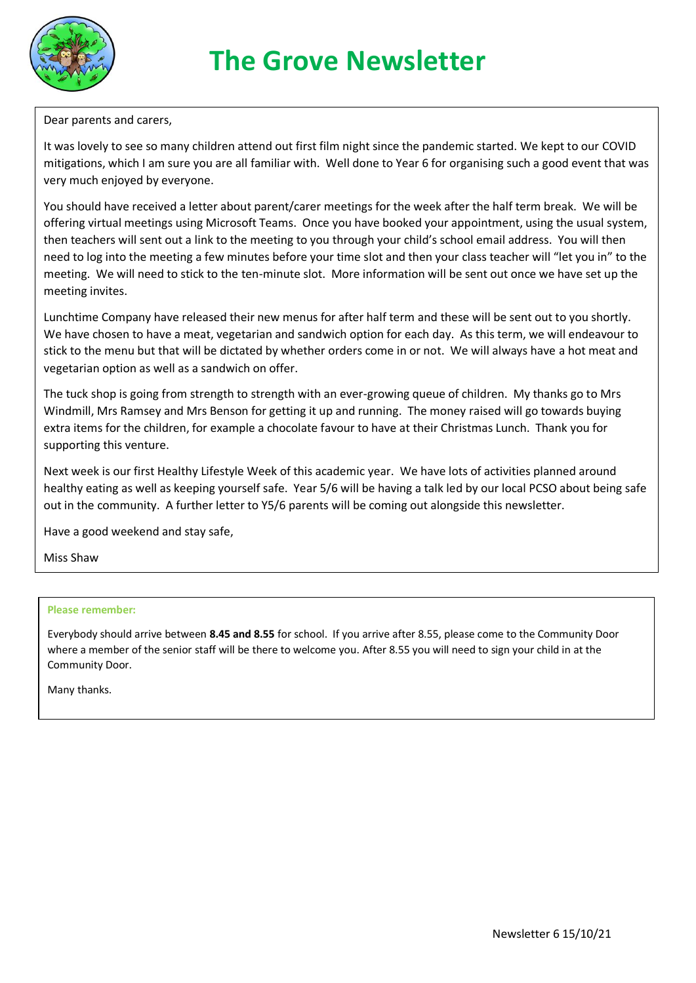

# **The Grove Newsletter**

Dear parents and carers,

It was lovely to see so many children attend out first film night since the pandemic started. We kept to our COVID mitigations, which I am sure you are all familiar with. Well done to Year 6 for organising such a good event that was very much enjoyed by everyone.

You should have received a letter about parent/carer meetings for the week after the half term break. We will be offering virtual meetings using Microsoft Teams. Once you have booked your appointment, using the usual system, then teachers will sent out a link to the meeting to you through your child's school email address. You will then need to log into the meeting a few minutes before your time slot and then your class teacher will "let you in" to the meeting. We will need to stick to the ten-minute slot. More information will be sent out once we have set up the meeting invites.

Lunchtime Company have released their new menus for after half term and these will be sent out to you shortly. We have chosen to have a meat, vegetarian and sandwich option for each day. As this term, we will endeavour to stick to the menu but that will be dictated by whether orders come in or not. We will always have a hot meat and vegetarian option as well as a sandwich on offer.

The tuck shop is going from strength to strength with an ever-growing queue of children. My thanks go to Mrs Windmill, Mrs Ramsey and Mrs Benson for getting it up and running. The money raised will go towards buying extra items for the children, for example a chocolate favour to have at their Christmas Lunch. Thank you for supporting this venture.

Next week is our first Healthy Lifestyle Week of this academic year. We have lots of activities planned around healthy eating as well as keeping yourself safe. Year 5/6 will be having a talk led by our local PCSO about being safe out in the community. A further letter to Y5/6 parents will be coming out alongside this newsletter.

Have a good weekend and stay safe,

Miss Shaw

#### **Please remember:**

Everybody should arrive between **8.45 and 8.55** for school. If you arrive after 8.55, please come to the Community Door where a member of the senior staff will be there to welcome you. After 8.55 you will need to sign your child in at the Community Door.

Many thanks.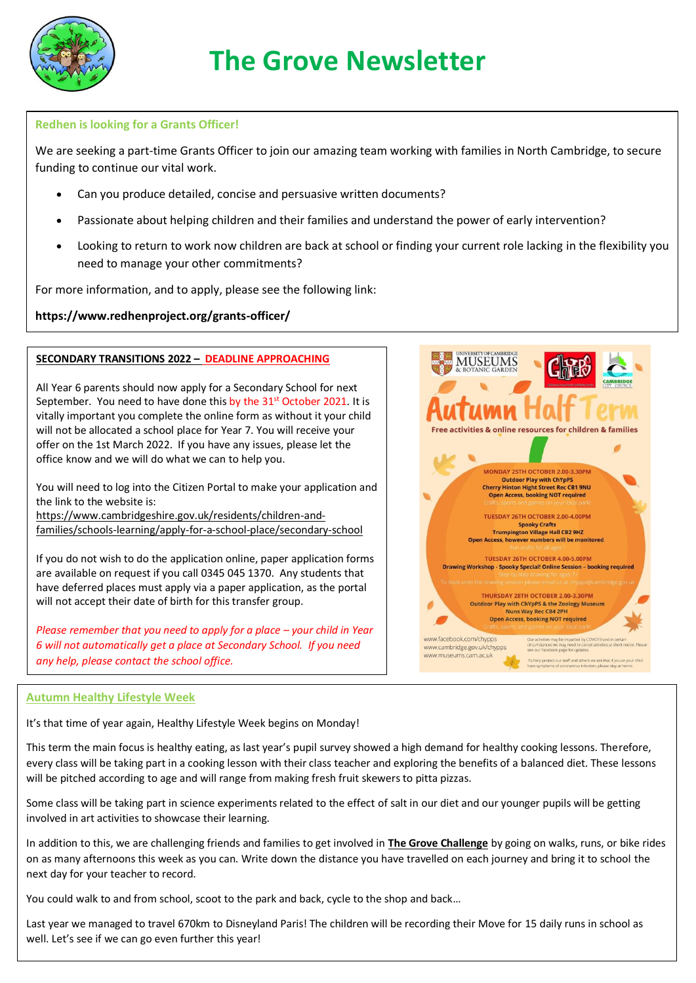

#### **Redhen is looking for a Grants Officer!**

We are seeking a part-time Grants Officer to join our amazing team working with families in North Cambridge, to secure funding to continue our vital work.

- Can you produce detailed, concise and persuasive written documents?
- Passionate about helping children and their families and understand the power of early intervention?
- Looking to return to work now children are back at school or finding your current role lacking in the flexibility you need to manage your other commitments?

For more information, and to apply, please see the following link:

### **https://www.redhenproject.org/grants-officer/**

#### **SECONDARY TRANSITIONS 2022 – DEADLINE APPROACHING**

All Year 6 parents should now apply for a Secondary School for next September. You need to have done this by the 31<sup>st</sup> October 2021. It is vitally important you complete the online form as without it your child will not be allocated a school place for Year 7. You will receive your offer on the 1st March 2022. If you have any issues, please let the office know and we will do what we can to help you.

You will need to log into the Citizen Portal to make your application and the link to the website is:

[https://www.cambridgeshire.gov.uk/residents/children-and](https://www.cambridgeshire.gov.uk/residents/children-and-families/schools-learning/apply-for-a-school-place/secondary-school)[families/schools-learning/apply-for-a-school-place/secondary-school](https://www.cambridgeshire.gov.uk/residents/children-and-families/schools-learning/apply-for-a-school-place/secondary-school)

If you do not wish to do the application online, paper application forms are available on request if you call 0345 045 1370. Any students that have deferred places must apply via a paper application, as the portal will not accept their date of birth for this transfer group.

*Please remember that you need to apply for a place – your child in Year 6 will not automatically get a place at Secondary School. If you need any help, please contact the school office.*



#### **Autumn Healthy Lifestyle Week**

It's that time of year again, Healthy Lifestyle Week begins on Monday!

This term the main focus is healthy eating, as last year's pupil survey showed a high demand for healthy cooking lessons. Therefore, every class will be taking part in a cooking lesson with their class teacher and exploring the benefits of a balanced diet. These lessons will be pitched according to age and will range from making fresh fruit skewers to pitta pizzas.

Some class will be taking part in science experiments related to the effect of salt in our diet and our younger pupils will be getting involved in art activities to showcase their learning.

In addition to this, we are challenging friends and families to get involved in **The Grove Challenge** by going on walks, runs, or bike rides on as many afternoons this week as you can. Write down the distance you have travelled on each journey and bring it to school the next day for your teacher to record.

You could walk to and from school, scoot to the park and back, cycle to the shop and back…

Newsletter 6 15/10/21 Last year we managed to travel 670km to Disneyland Paris! The children will be recording their Move for 15 daily runs in school as well. Let's see if we can go even further this year!